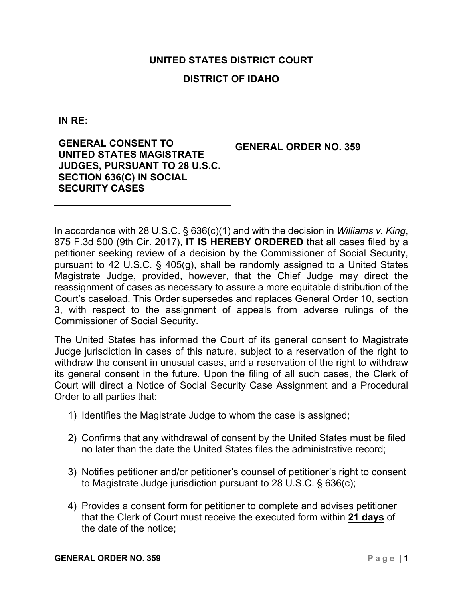## **UNITED STATES DISTRICT COURT**

# **DISTRICT OF IDAHO**

**IN RE:** 

**GENERAL CONSENT TO UNITED STATES MAGISTRATE JUDGES, PURSUANT TO 28 U.S.C. SECTION 636(C) IN SOCIAL SECURITY CASES**

**GENERAL ORDER NO. 359**

In accordance with 28 U.S.C. § 636(c)(1) and with the decision in *Williams v. King*, 875 F.3d 500 (9th Cir. 2017), **IT IS HEREBY ORDERED** that all cases filed by a petitioner seeking review of a decision by the Commissioner of Social Security, pursuant to 42 U.S.C. § 405(g), shall be randomly assigned to a United States Magistrate Judge, provided, however, that the Chief Judge may direct the reassignment of cases as necessary to assure a more equitable distribution of the Court's caseload. This Order supersedes and replaces General Order 10, section 3, with respect to the assignment of appeals from adverse rulings of the Commissioner of Social Security.

The United States has informed the Court of its general consent to Magistrate Judge jurisdiction in cases of this nature, subject to a reservation of the right to withdraw the consent in unusual cases, and a reservation of the right to withdraw its general consent in the future. Upon the filing of all such cases, the Clerk of Court will direct a Notice of Social Security Case Assignment and a Procedural Order to all parties that:

- 1) Identifies the Magistrate Judge to whom the case is assigned;
- 2) Confirms that any withdrawal of consent by the United States must be filed no later than the date the United States files the administrative record;
- 3) Notifies petitioner and/or petitioner's counsel of petitioner's right to consent to Magistrate Judge jurisdiction pursuant to 28 U.S.C. § 636(c);
- 4) Provides a consent form for petitioner to complete and advises petitioner that the Clerk of Court must receive the executed form within **21 days** of the date of the notice;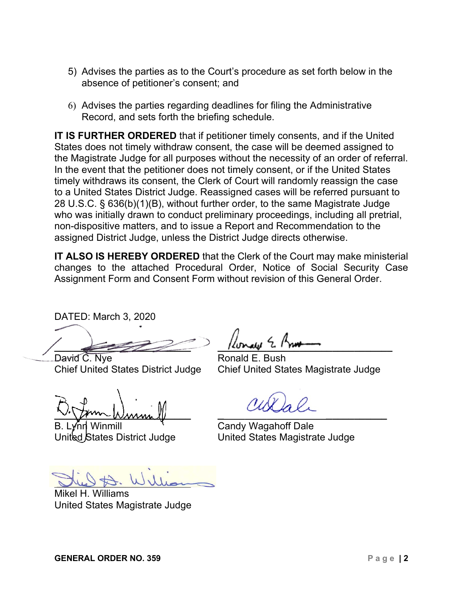- 5) Advises the parties as to the Court's procedure as set forth below in the absence of petitioner's consent; and
- 6) Advises the parties regarding deadlines for filing the Administrative Record, and sets forth the briefing schedule.

**IT IS FURTHER ORDERED** that if petitioner timely consents, and if the United States does not timely withdraw consent, the case will be deemed assigned to the Magistrate Judge for all purposes without the necessity of an order of referral. In the event that the petitioner does not timely consent, or if the United States timely withdraws its consent, the Clerk of Court will randomly reassign the case to a United States District Judge. Reassigned cases will be referred pursuant to 28 U.S.C. § 636(b)(1)(B), without further order, to the same Magistrate Judge who was initially drawn to conduct preliminary proceedings, including all pretrial, non-dispositive matters, and to issue a Report and Recommendation to the assigned District Judge, unless the District Judge directs otherwise.

**IT ALSO IS HEREBY ORDERED** that the Clerk of the Court may make ministerial changes to the attached Procedural Order, Notice of Social Security Case Assignment Form and Consent Form without revision of this General Order.

DATED: March 3, 2020

 $L_{1}$   $M_{2}$   $L_{1}$   $M_{3}$ 

David C. Nye **Ronald E. Bush** 

**\_\_\_\_\_\_\_\_\_\_\_\_\_\_\_\_\_\_\_\_\_\_\_\_\_ \_\_\_\_\_\_\_\_\_\_\_\_\_\_\_\_\_\_\_\_\_\_\_\_\_\_\_\_\_\_\_**

Chief United States District Judge Chief United States Magistrate Judge

inmill  $\mathcal{R}$  Candy Wagahoff Dale United States District Judge United States Magistrate Judge

**\_\_\_\_\_\_\_\_\_\_\_\_\_\_\_\_\_\_\_\_\_\_\_\_\_**

Mikel H. Williams United States Magistrate Judge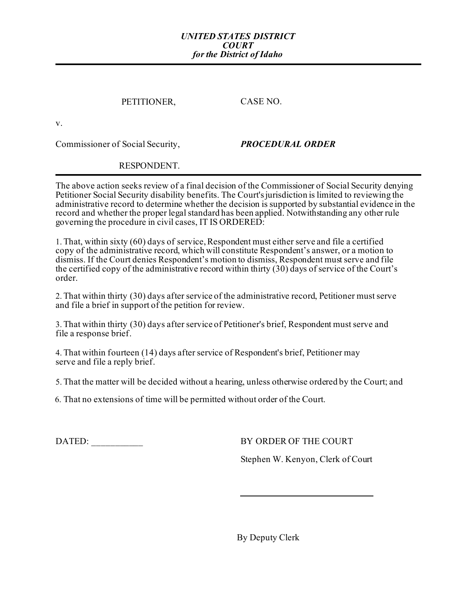#### *UNITED STATES DISTRICT COURT for the District of Idaho*

## PETITIONER, CASE NO.

v.

Commissioner of Social Security, *PROCEDURAL ORDER*

### RESPONDENT.

The above action seeks review of a final decision of the Commissioner of Social Security denying Petitioner Social Security disability benefits. The Court's jurisdiction is limited to reviewing the administrative record to determine whether the decision is supported by substantial evidence in the record and whether the proper legal standard has been applied. Notwithstanding any other rule governing the procedure in civil cases, IT IS ORDERED:

1. That, within sixty (60) days of service, Respondent must either serve and file a certified copy of the administrative record, which will constitute Respondent's answer, or a motion to dismiss. If the Court denies Respondent's motion to dismiss, Respondent must serve and file the certified copy of the administrative record within thirty (30) days of service of the Court's order.

2. That within thirty (30) days after service of the administrative record, Petitioner must serve and file a brief in support of the petition for review.

3. That within thirty (30) days after service of Petitioner's brief, Respondent must serve and file a response brief.

4. That within fourteen (14) days after service of Respondent's brief, Petitioner may serve and file a reply brief.

5. That the matter will be decided without a hearing, unless otherwise ordered by the Court; and

6. That no extensions of time will be permitted without order of the Court.

DATED: BY ORDER OF THE COURT

Stephen W. Kenyon, Clerk of Court

By Deputy Clerk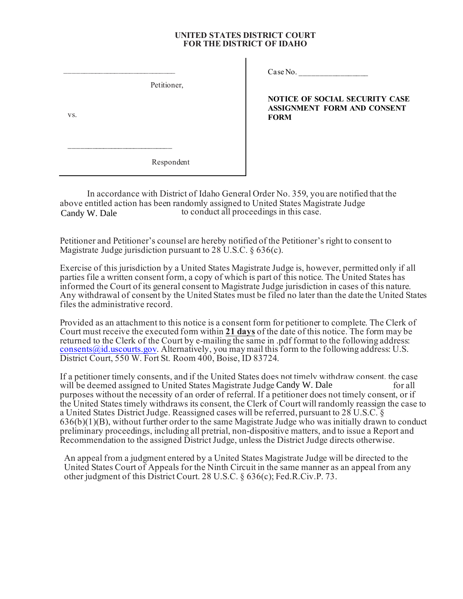#### **UNITED STATES DISTRICT COURT FOR THE DISTRICT OF IDAHO**

Petitioner,

 $\_$ 

 $\_$ 

vs.

Case No.

**NOTICE OF SOCIAL SECURITY CASE ASSIGNMENT FORM AND CONSENT FORM**

Respondent

In accordance with District of Idaho General Order No. 359, you are notified that the above entitled action has been randomly assigned to United States Magistrate Judge<br>
conduct all proceedings in this case. Candy W. Dale

Petitioner and Petitioner's counsel are hereby notified of the Petitioner's right to consent to Magistrate Judge jurisdiction pursuant to 28 U.S.C. § 636(c).

Exercise of this jurisdiction by a United States Magistrate Judge is, however, permitted only if all parties file a written consent form, a copy of which is part of this notice. The United States has informed the Court of its general consent to Magistrate Judge jurisdiction in cases of this nature. Any withdrawal of consent by the United States must be filed no later than the date the United States files the administrative record.

Provided as an attachment to this notice is a consent form for petitioner to complete. The Clerk of Court must receive the executed form within **21 days** of the date of this notice. The form may be returned to the Clerk of the Court by e-mailing the same in .pdf format to the following address:  $\frac{\text{consents}}{\text{values}}$  is a Alternatively, you may mail this form to the following address: U.S. District Court, 550 W. Fort St. Room 400, Boise, ID 83724.

If a petitioner timely consents, and if the United States does not timely withdraw consent, the case will be deemed assigned to United States Magistrate Judge Candy W. Dale for all purposes without the necessity of an order of referral. If a petitioner does not timely consent, or if the United States timely withdraws its consent, the Clerk of Court will randomly reassign the case to a United States District Judge. Reassigned cases will be referred, pursuant to 28 U.S.C. § 636(b)(1)(B), without further order to the same Magistrate Judge who was initially drawn to conduct preliminary proceedings, including all pretrial, non-dispositive matters, and to issue a Report and Recommendation to the assigned District Judge, unless the District Judge directs otherwise.

An appeal from a judgment entered by a United States Magistrate Judge will be directed to the United States Court of Appeals for the Ninth Circuit in the same manner as an appeal from any other judgment of this District Court. 28 U.S.C. § 636(c); Fed.R.Civ.P. 73.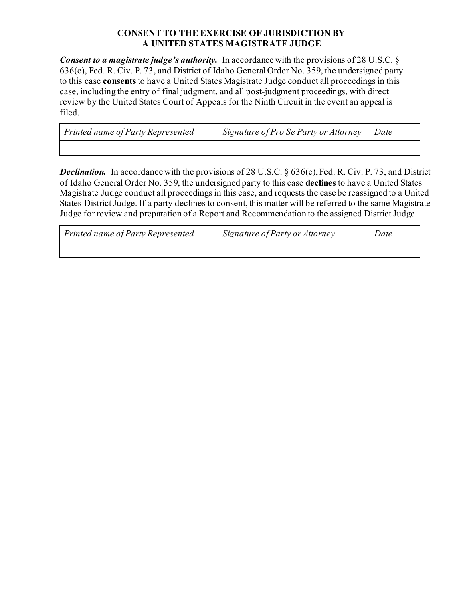## **CONSENT TO THE EXERCISE OF JURISDICTION BY A UNITED STATES MAGISTRATE JUDGE**

*Consent to a magistrate judge's authority.* In accordance with the provisions of 28 U.S.C. § 636(c), Fed. R. Civ. P. 73, and District of Idaho General Order No. 359, the undersigned party to this case **consents** to have a United States Magistrate Judge conduct all proceedings in this case, including the entry of final judgment, and all post-judgment proceedings, with direct review by the United States Court of Appeals for the Ninth Circuit in the event an appeal is filed.

| Printed name of Party Represented | Signature of Pro Se Party or Attorney | Date |
|-----------------------------------|---------------------------------------|------|
|                                   |                                       |      |

*Declination.* In accordance with the provisions of 28 U.S.C. § 636(c), Fed. R. Civ. P. 73, and District of Idaho General Order No. 359, the undersigned party to this case **declines** to have a United States Magistrate Judge conduct all proceedings in this case, and requests the case be reassigned to a United States District Judge. If a party declines to consent, this matter will be referred to the same Magistrate Judge for review and preparation of a Report and Recommendation to the assigned District Judge.

| Printed name of Party Represented | Signature of Party or Attorney | Date |
|-----------------------------------|--------------------------------|------|
|                                   |                                |      |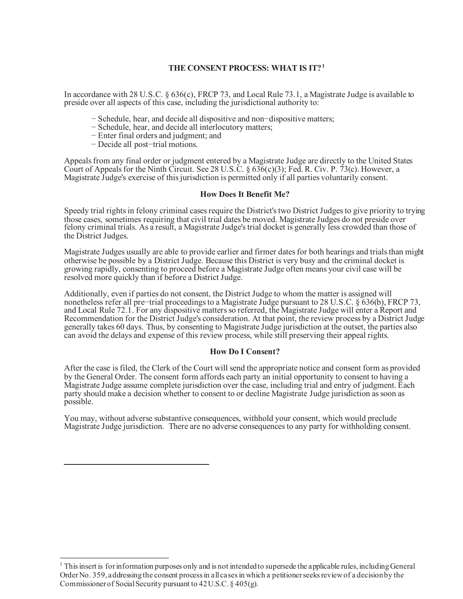#### **THE CONSENT PROCESS: WHAT IS IT? [1](#page-5-0)**

In accordance with 28 U.S.C. § 636(c), FRCP 73, and Local Rule 73.1, a Magistrate Judge is available to preside over all aspects of this case, including the jurisdictional authority to:

- − Schedule, hear, and decide all dispositive and non−dispositive matters;
- − Schedule, hear, and decide all interlocutory matters;
- − Enter final orders and judgment; and
- − Decide all post−trial motions.

Appeals from any final order or judgment entered by a Magistrate Judge are directly to the United States Court of Appeals for the Ninth Circuit. See 28 U.S.C.  $\S 636(c)(3)$ ; Fed. R. Civ. P. 73(c). However, a Magistrate Judge's exercise of this jurisdiction is permitted only if all parties voluntarily consent.

#### **How Does It Benefit Me?**

Speedy trial rights in felony criminal cases require the District's two District Judges to give priority to trying those cases, sometimes requiring that civil trial dates be moved. Magistrate Judges do not preside over felony criminal trials. As a result, a Magistrate Judge's trial docket is generally less crowded than those of the District Judges.

Magistrate Judges usually are able to provide earlier and firmer dates for both hearings and trials than might otherwise be possible by a District Judge. Because this District is very busy and the criminal docket is growing rapidly, consenting to proceed before a Magistrate Judge often means your civil case will be resolved more quickly than if before a District Judge.

Additionally, even if parties do not consent, the District Judge to whom the matter is assigned will nonetheless refer all pre−trial proceedings to a Magistrate Judge pursuant to 28 U.S.C. § 636(b), FRCP 73, and Local Rule 72.1. For any dispositive matters so referred, the Magistrate Judge will enter a Report and Recommendation for the District Judge's consideration. At that point, the review process by a District Judge generally takes 60 days. Thus, by consenting to Magistrate Judge jurisdiction at the outset, the parties also can avoid the delays and expense of this review process, while still preserving their appeal rights.

#### **How Do I Consent?**

After the case is filed, the Clerk of the Court will send the appropriate notice and consent form as provided by the General Order. The consent form affords each party an initial opportunity to consent to having a Magistrate Judge assume complete jurisdiction over the case, including trial and entry of judgment. Each party should make a decision whether to consent to or decline Magistrate Judge jurisdiction as soon as possible.

You may, without adverse substantive consequences, withhold your consent, which would preclude Magistrate Judge jurisdiction. There are no adverse consequences to any party for withholding consent.

<span id="page-5-0"></span><sup>&</sup>lt;sup>1</sup> This insert is for information purposes only and is not intended to supersede the applicable rules, including General Order No. 359, addressing the consent process in all cases in which a petitioner seeks review of a decision by the Commissioner of Social Security pursuant to 42 U.S.C. § 405(g).